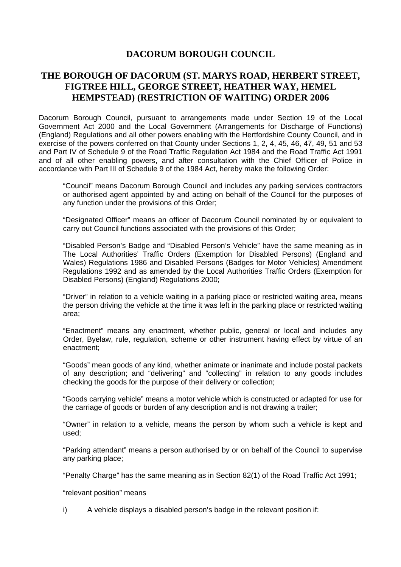## **DACORUM BOROUGH COUNCIL**

## **THE BOROUGH OF DACORUM (ST. MARYS ROAD, HERBERT STREET, FIGTREE HILL, GEORGE STREET, HEATHER WAY, HEMEL HEMPSTEAD) (RESTRICTION OF WAITING) ORDER 2006**

Dacorum Borough Council, pursuant to arrangements made under Section 19 of the Local Government Act 2000 and the Local Government (Arrangements for Discharge of Functions) (England) Regulations and all other powers enabling with the Hertfordshire County Council, and in exercise of the powers conferred on that County under Sections 1, 2, 4, 45, 46, 47, 49, 51 and 53 and Part IV of Schedule 9 of the Road Traffic Regulation Act 1984 and the Road Traffic Act 1991 and of all other enabling powers, and after consultation with the Chief Officer of Police in accordance with Part III of Schedule 9 of the 1984 Act, hereby make the following Order:

"Council" means Dacorum Borough Council and includes any parking services contractors or authorised agent appointed by and acting on behalf of the Council for the purposes of any function under the provisions of this Order;

"Designated Officer" means an officer of Dacorum Council nominated by or equivalent to carry out Council functions associated with the provisions of this Order;

"Disabled Person's Badge and "Disabled Person's Vehicle" have the same meaning as in The Local Authorities' Traffic Orders (Exemption for Disabled Persons) (England and Wales) Regulations 1986 and Disabled Persons (Badges for Motor Vehicles) Amendment Regulations 1992 and as amended by the Local Authorities Traffic Orders (Exemption for Disabled Persons) (England) Regulations 2000;

"Driver" in relation to a vehicle waiting in a parking place or restricted waiting area, means the person driving the vehicle at the time it was left in the parking place or restricted waiting area;

"Enactment" means any enactment, whether public, general or local and includes any Order, Byelaw, rule, regulation, scheme or other instrument having effect by virtue of an enactment;

"Goods" mean goods of any kind, whether animate or inanimate and include postal packets of any description; and "delivering" and "collecting" in relation to any goods includes checking the goods for the purpose of their delivery or collection;

"Goods carrying vehicle" means a motor vehicle which is constructed or adapted for use for the carriage of goods or burden of any description and is not drawing a trailer;

"Owner" in relation to a vehicle, means the person by whom such a vehicle is kept and used;

"Parking attendant" means a person authorised by or on behalf of the Council to supervise any parking place;

"Penalty Charge" has the same meaning as in Section 82(1) of the Road Traffic Act 1991;

"relevant position" means

i) A vehicle displays a disabled person's badge in the relevant position if: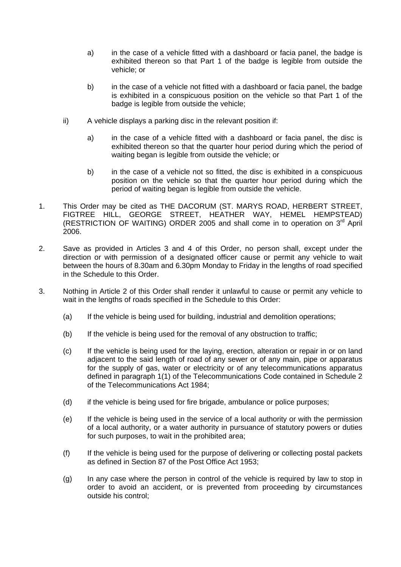- a) in the case of a vehicle fitted with a dashboard or facia panel, the badge is exhibited thereon so that Part 1 of the badge is legible from outside the vehicle; or
- b) in the case of a vehicle not fitted with a dashboard or facia panel, the badge is exhibited in a conspicuous position on the vehicle so that Part 1 of the badge is legible from outside the vehicle;
- ii) A vehicle displays a parking disc in the relevant position if:
	- a) in the case of a vehicle fitted with a dashboard or facia panel, the disc is exhibited thereon so that the quarter hour period during which the period of waiting began is legible from outside the vehicle; or
	- b) in the case of a vehicle not so fitted, the disc is exhibited in a conspicuous position on the vehicle so that the quarter hour period during which the period of waiting began is legible from outside the vehicle.
- 1. This Order may be cited as THE DACORUM (ST. MARYS ROAD, HERBERT STREET, FIGTREE HILL, GEORGE STREET, HEATHER WAY, HEMEL HEMPSTEAD) (RESTRICTION OF WAITING) ORDER 2005 and shall come in to operation on  $3<sup>rd</sup>$  April 2006.
- 2. Save as provided in Articles 3 and 4 of this Order, no person shall, except under the direction or with permission of a designated officer cause or permit any vehicle to wait between the hours of 8.30am and 6.30pm Monday to Friday in the lengths of road specified in the Schedule to this Order.
- 3. Nothing in Article 2 of this Order shall render it unlawful to cause or permit any vehicle to wait in the lengths of roads specified in the Schedule to this Order:
	- (a) If the vehicle is being used for building, industrial and demolition operations;
	- (b) If the vehicle is being used for the removal of any obstruction to traffic;
	- (c) If the vehicle is being used for the laying, erection, alteration or repair in or on land adjacent to the said length of road of any sewer or of any main, pipe or apparatus for the supply of gas, water or electricity or of any telecommunications apparatus defined in paragraph 1(1) of the Telecommunications Code contained in Schedule 2 of the Telecommunications Act 1984;
	- (d) if the vehicle is being used for fire brigade, ambulance or police purposes;
	- (e) If the vehicle is being used in the service of a local authority or with the permission of a local authority, or a water authority in pursuance of statutory powers or duties for such purposes, to wait in the prohibited area;
	- (f) If the vehicle is being used for the purpose of delivering or collecting postal packets as defined in Section 87 of the Post Office Act 1953;
	- (g) In any case where the person in control of the vehicle is required by law to stop in order to avoid an accident, or is prevented from proceeding by circumstances outside his control;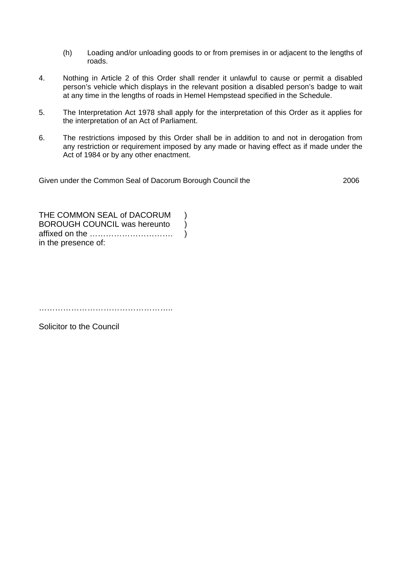- (h) Loading and/or unloading goods to or from premises in or adjacent to the lengths of roads.
- 4. Nothing in Article 2 of this Order shall render it unlawful to cause or permit a disabled person's vehicle which displays in the relevant position a disabled person's badge to wait at any time in the lengths of roads in Hemel Hempstead specified in the Schedule.
- 5. The Interpretation Act 1978 shall apply for the interpretation of this Order as it applies for the interpretation of an Act of Parliament.
- 6. The restrictions imposed by this Order shall be in addition to and not in derogation from any restriction or requirement imposed by any made or having effect as if made under the Act of 1984 or by any other enactment.

Given under the Common Seal of Dacorum Borough Council the 2006

THE COMMON SEAL of DACORUM ) BOROUGH COUNCIL was hereunto ) affixed on the …………………………. ) in the presence of:

…………………………………………..

Solicitor to the Council